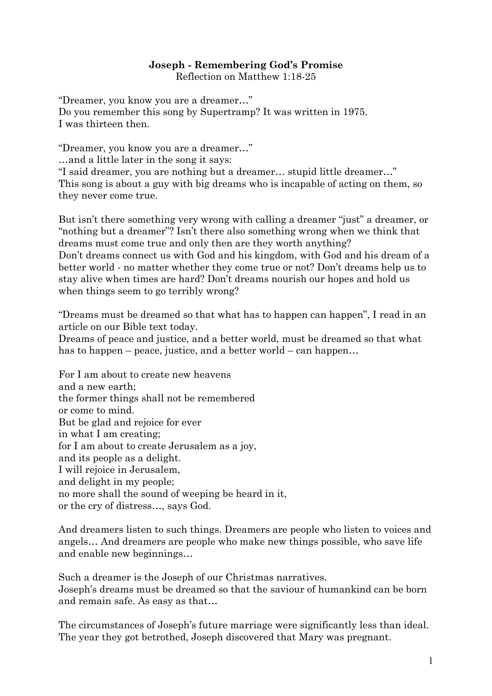## **Joseph - Remembering God's Promise**

Reflection on [Matthew 1:18-25](http://bible.oremus.org/?ql=346415409)

"Dreamer, you know you are a dreamer..." Do you remember this song by Supertramp? It was written in 1975. I was thirteen then.

"Dreamer, you know you are a dreamer..."

…and a little later in the song it says:

"I said dreamer, you are nothing but a dreamer... stupid little dreamer..." This song is about a guy with big dreams who is incapable of acting on them, so they never come true.

But isn't there something very wrong with calling a dreamer "just" a dreamer, or "nothing but a dreamer"? Isn't there also something wrong when we think that dreams must come true and only then are they worth anything? Don't dreams connect us with God and his kingdom, with God and his dream of a better world - no matter whether they come true or not? Don't dreams help us to stay alive when times are hard? Don't dreams nourish our hopes and hold us when things seem to go terribly wrong?

―Dreams must be dreamed so that what has to happen can happen‖, I read in an article on our Bible text today.

Dreams of peace and justice, and a better world, must be dreamed so that what has to happen – peace, justice, and a better world – can happen...

For I am about to create new heavens and a new earth; the former things shall not be remembered or come to mind. But be glad and rejoice for ever in what I am creating; for I am about to create Jerusalem as a joy, and its people as a delight. I will rejoice in Jerusalem, and delight in my people; no more shall the sound of weeping be heard in it, or the cry of distress…, says God.

And dreamers listen to such things. Dreamers are people who listen to voices and angels… And dreamers are people who make new things possible, who save life and enable new beginnings…

Such a dreamer is the Joseph of our Christmas narratives. Joseph's dreams must be dreamed so that the saviour of humankind can be born and remain safe. As easy as that…

The circumstances of Joseph's future marriage were significantly less than ideal. The year they got betrothed, Joseph discovered that Mary was pregnant.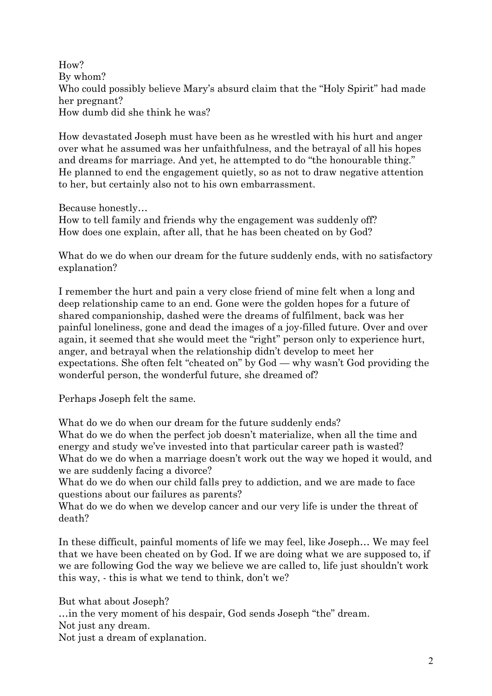How? By whom? Who could possibly believe Mary's absurd claim that the "Holy Spirit" had made her pregnant? How dumb did she think he was?

How devastated Joseph must have been as he wrestled with his hurt and anger over what he assumed was her unfaithfulness, and the betrayal of all his hopes and dreams for marriage. And yet, he attempted to do "the honourable thing." He planned to end the engagement quietly, so as not to draw negative attention to her, but certainly also not to his own embarrassment.

Because honestly…

How to tell family and friends why the engagement was suddenly off? How does one explain, after all, that he has been cheated on by God?

What do we do when our dream for the future suddenly ends, with no satisfactory explanation?

I remember the hurt and pain a very close friend of mine felt when a long and deep relationship came to an end. Gone were the golden hopes for a future of shared companionship, dashed were the dreams of fulfilment, back was her painful loneliness, gone and dead the images of a joy-filled future. Over and over again, it seemed that she would meet the "right" person only to experience hurt, anger, and betrayal when the relationship didn't develop to meet her expectations. She often felt "cheated on" by  $God - why wasn't God providing the$ wonderful person, the wonderful future, she dreamed of?

Perhaps Joseph felt the same.

What do we do when our dream for the future suddenly ends?

What do we do when the perfect job doesn't materialize, when all the time and energy and study we've invested into that particular career path is wasted? What do we do when a marriage doesn't work out the way we hoped it would, and we are suddenly facing a divorce?

What do we do when our child falls prey to addiction, and we are made to face questions about our failures as parents?

What do we do when we develop cancer and our very life is under the threat of death?

In these difficult, painful moments of life we may feel, like Joseph… We may feel that we have been cheated on by God. If we are doing what we are supposed to, if we are following God the way we believe we are called to, life just shouldn't work this way, - this is what we tend to think, don't we?

But what about Joseph? ... in the very moment of his despair, God sends Joseph "the" dream. Not just any dream. Not just a dream of explanation.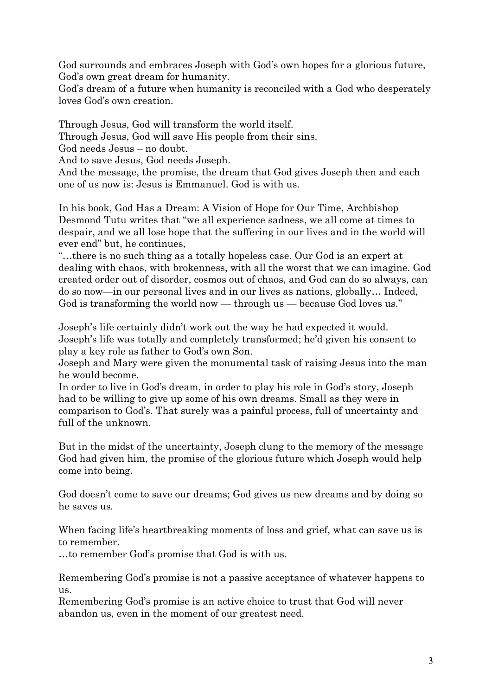God surrounds and embraces Joseph with God's own hopes for a glorious future, God's own great dream for humanity.

God's dream of a future when humanity is reconciled with a God who desperately loves God's own creation.

Through Jesus, God will transform the world itself.

Through Jesus, God will save His people from their sins.

God needs Jesus – no doubt.

And to save Jesus, God needs Joseph.

And the message, the promise, the dream that God gives Joseph then and each one of us now is: Jesus is Emmanuel. God is with us.

In his book, God Has a Dream: A Vision of Hope for Our Time, Archbishop Desmond Tutu writes that "we all experience sadness, we all come at times to despair, and we all lose hope that the suffering in our lives and in the world will ever end" but, he continues,

―…there is no such thing as a totally hopeless case. Our God is an expert at dealing with chaos, with brokenness, with all the worst that we can imagine. God created order out of disorder, cosmos out of chaos, and God can do so always, can do so now—in our personal lives and in our lives as nations, globally… Indeed, God is transforming the world now — through us — because God loves us."

Joseph's life certainly didn't work out the way he had expected it would. Joseph's life was totally and completely transformed; he'd given his consent to play a key role as father to God's own Son.

Joseph and Mary were given the monumental task of raising Jesus into the man he would become.

In order to live in God's dream, in order to play his role in God's story, Joseph had to be willing to give up some of his own dreams. Small as they were in comparison to God's. That surely was a painful process, full of uncertainty and full of the unknown.

But in the midst of the uncertainty, Joseph clung to the memory of the message God had given him, the promise of the glorious future which Joseph would help come into being.

God doesn't come to save our dreams; God gives us new dreams and by doing so he saves us*.*

When facing life's heartbreaking moments of loss and grief, what can save us is to remember.

…to remember God's promise that God is with us.

Remembering God's promise is not a passive acceptance of whatever happens to us.

Remembering God's promise is an active choice to trust that God will never abandon us, even in the moment of our greatest need.